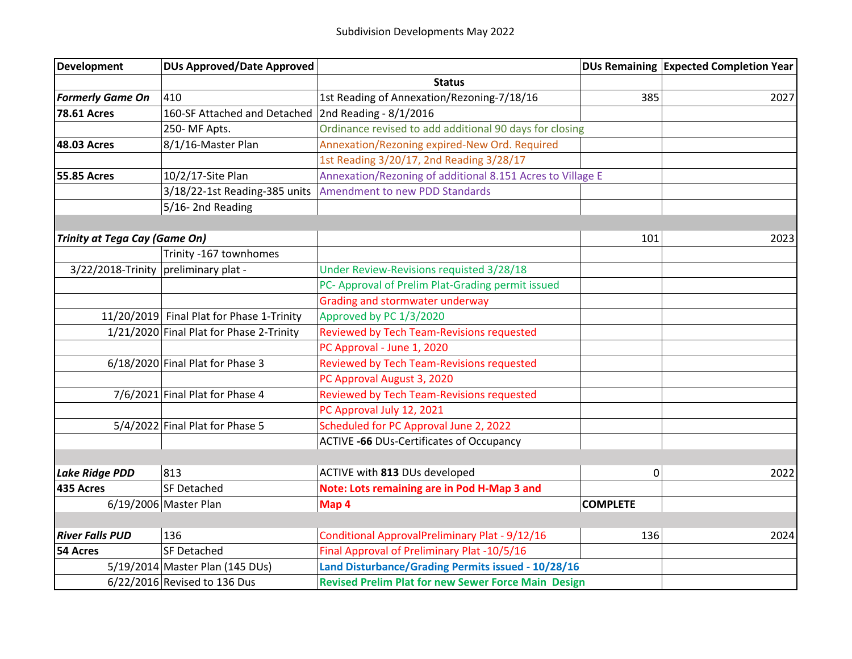| Development                          | <b>DUs Approved/Date Approved</b>         |                                                              |                 | DUs Remaining Expected Completion Year |
|--------------------------------------|-------------------------------------------|--------------------------------------------------------------|-----------------|----------------------------------------|
|                                      |                                           | <b>Status</b>                                                |                 |                                        |
| <b>Formerly Game On</b>              | 410                                       | 1st Reading of Annexation/Rezoning-7/18/16                   | 385             | 2027                                   |
| <b>78.61 Acres</b>                   | 160-SF Attached and Detached              | 2nd Reading - 8/1/2016                                       |                 |                                        |
|                                      | 250-MF Apts.                              | Ordinance revised to add additional 90 days for closing      |                 |                                        |
| 48.03 Acres                          | 8/1/16-Master Plan                        | Annexation/Rezoning expired-New Ord. Required                |                 |                                        |
|                                      |                                           | 1st Reading 3/20/17, 2nd Reading 3/28/17                     |                 |                                        |
| <b>55.85 Acres</b>                   | 10/2/17-Site Plan                         | Annexation/Rezoning of additional 8.151 Acres to Village E   |                 |                                        |
|                                      |                                           | 3/18/22-1st Reading-385 units Amendment to new PDD Standards |                 |                                        |
|                                      | 5/16-2nd Reading                          |                                                              |                 |                                        |
|                                      |                                           |                                                              |                 |                                        |
| Trinity at Tega Cay (Game On)        |                                           |                                                              | 101             | 2023                                   |
|                                      | Trinity -167 townhomes                    |                                                              |                 |                                        |
| 3/22/2018-Trinity preliminary plat - |                                           | Under Review-Revisions requisted 3/28/18                     |                 |                                        |
|                                      |                                           | PC- Approval of Prelim Plat-Grading permit issued            |                 |                                        |
|                                      |                                           | <b>Grading and stormwater underway</b>                       |                 |                                        |
|                                      | 11/20/2019 Final Plat for Phase 1-Trinity | Approved by PC 1/3/2020                                      |                 |                                        |
|                                      | 1/21/2020 Final Plat for Phase 2-Trinity  | Reviewed by Tech Team-Revisions requested                    |                 |                                        |
|                                      |                                           | PC Approval - June 1, 2020                                   |                 |                                        |
|                                      | $6/18/2020$ Final Plat for Phase 3        | Reviewed by Tech Team-Revisions requested                    |                 |                                        |
|                                      |                                           | PC Approval August 3, 2020                                   |                 |                                        |
|                                      | $7/6/2021$ Final Plat for Phase 4         | Reviewed by Tech Team-Revisions requested                    |                 |                                        |
|                                      |                                           | PC Approval July 12, 2021                                    |                 |                                        |
|                                      | $5/4/2022$ Final Plat for Phase 5         | Scheduled for PC Approval June 2, 2022                       |                 |                                        |
|                                      |                                           | <b>ACTIVE -66 DUs-Certificates of Occupancy</b>              |                 |                                        |
|                                      |                                           |                                                              |                 |                                        |
| Lake Ridge PDD                       | 813                                       | ACTIVE with 813 DUs developed                                | $\mathbf 0$     | 2022                                   |
| 435 Acres                            | <b>SF Detached</b>                        | Note: Lots remaining are in Pod H-Map 3 and                  |                 |                                        |
|                                      | 6/19/2006 Master Plan                     | Map 4                                                        | <b>COMPLETE</b> |                                        |
|                                      |                                           |                                                              |                 |                                        |
| <b>River Falls PUD</b>               | 136                                       | Conditional ApprovalPreliminary Plat - 9/12/16               | 136             | 2024                                   |
| 54 Acres                             | SF Detached                               | Final Approval of Preliminary Plat -10/5/16                  |                 |                                        |
|                                      | 5/19/2014 Master Plan (145 DUs)           | Land Disturbance/Grading Permits issued - 10/28/16           |                 |                                        |
|                                      | 6/22/2016 Revised to 136 Dus              | <b>Revised Prelim Plat for new Sewer Force Main Design</b>   |                 |                                        |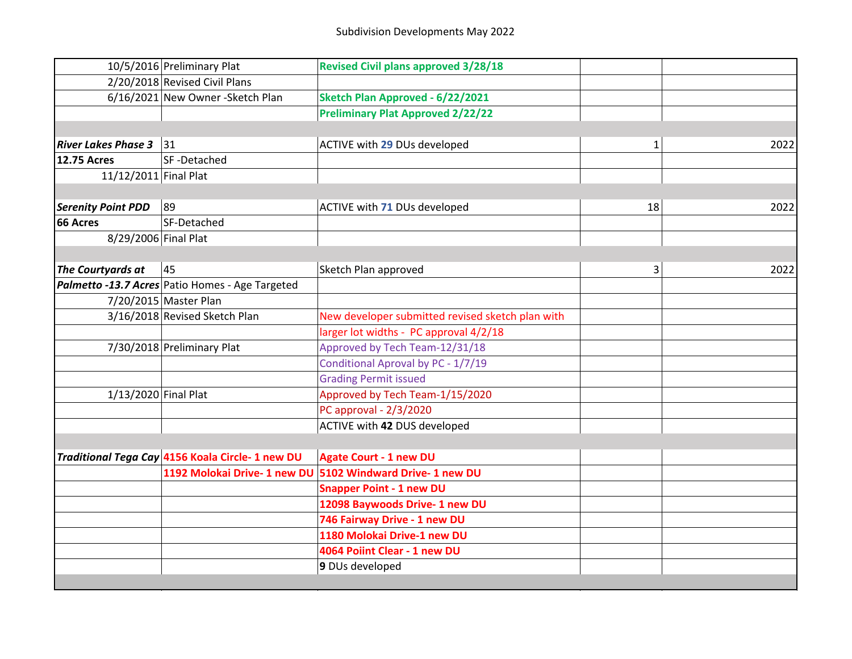|                            | 10/5/2016 Preliminary Plat                       | <b>Revised Civil plans approved 3/28/18</b>      |    |      |
|----------------------------|--------------------------------------------------|--------------------------------------------------|----|------|
|                            | 2/20/2018 Revised Civil Plans                    |                                                  |    |      |
|                            | 6/16/2021 New Owner - Sketch Plan                | Sketch Plan Approved - 6/22/2021                 |    |      |
|                            |                                                  | <b>Preliminary Plat Approved 2/22/22</b>         |    |      |
|                            |                                                  |                                                  |    |      |
| <b>River Lakes Phase 3</b> | 31                                               | ACTIVE with 29 DUs developed                     | 1  | 2022 |
| <b>12.75 Acres</b>         | SF-Detached                                      |                                                  |    |      |
| 11/12/2011 Final Plat      |                                                  |                                                  |    |      |
|                            |                                                  |                                                  |    |      |
| <b>Serenity Point PDD</b>  | 89                                               | ACTIVE with 71 DUs developed                     | 18 | 2022 |
| 66 Acres                   | SF-Detached                                      |                                                  |    |      |
| 8/29/2006 Final Plat       |                                                  |                                                  |    |      |
|                            |                                                  |                                                  |    |      |
| The Courtyards at          | 45                                               | Sketch Plan approved                             | 3  | 2022 |
|                            | Palmetto -13.7 Acres Patio Homes - Age Targeted  |                                                  |    |      |
|                            | 7/20/2015 Master Plan                            |                                                  |    |      |
|                            | 3/16/2018 Revised Sketch Plan                    | New developer submitted revised sketch plan with |    |      |
|                            |                                                  | larger lot widths - PC approval 4/2/18           |    |      |
|                            | 7/30/2018 Preliminary Plat                       | Approved by Tech Team-12/31/18                   |    |      |
|                            |                                                  | Conditional Aproval by PC - 1/7/19               |    |      |
|                            |                                                  | <b>Grading Permit issued</b>                     |    |      |
| 1/13/2020 Final Plat       |                                                  | Approved by Tech Team-1/15/2020                  |    |      |
|                            |                                                  | PC approval - 2/3/2020                           |    |      |
|                            |                                                  | ACTIVE with 42 DUS developed                     |    |      |
|                            |                                                  |                                                  |    |      |
|                            | Traditional Tega Cay 4156 Koala Circle- 1 new DU | <b>Agate Court - 1 new DU</b>                    |    |      |
|                            | 1192 Molokai Drive- 1 new DU                     | 5102 Windward Drive- 1 new DU                    |    |      |
|                            |                                                  | <b>Snapper Point - 1 new DU</b>                  |    |      |
|                            |                                                  | 12098 Baywoods Drive- 1 new DU                   |    |      |
|                            |                                                  | 746 Fairway Drive - 1 new DU                     |    |      |
|                            |                                                  | 1180 Molokai Drive-1 new DU                      |    |      |
|                            |                                                  | 4064 Poiint Clear - 1 new DU                     |    |      |
|                            |                                                  | 9 DUs developed                                  |    |      |
|                            |                                                  |                                                  |    |      |